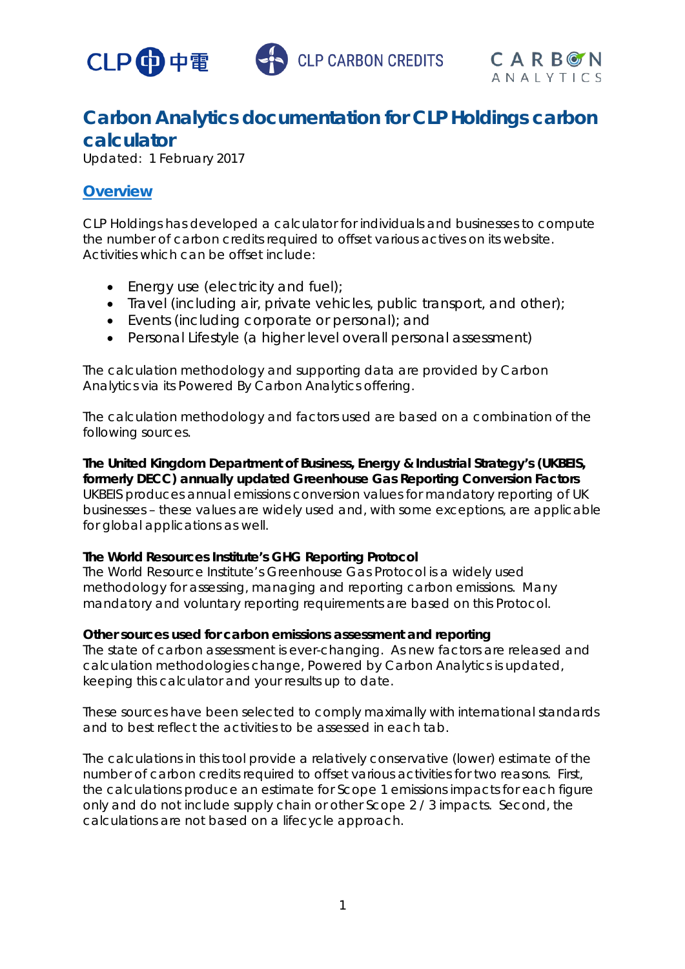



## **Carbon Analytics documentation for CLP Holdings carbon calculator**

Updated: 1 February 2017

## **Overview**

CLP Holdings has developed a calculator for individuals and businesses to compute the number of carbon credits required to offset various actives on its website. Activities which can be offset include:

- Energy use (electricity and fuel);
- Travel (including air, private vehicles, public transport, and other);
- Events (including corporate or personal); and
- Personal Lifestyle (a higher level overall personal assessment)

The calculation methodology and supporting data are provided by Carbon Analytics via its Powered By Carbon Analytics offering.

The calculation methodology and factors used are based on a combination of the following sources.

**The United Kingdom Department of Business, Energy & Industrial Strategy's (UKBEIS, formerly DECC) annually updated Greenhouse Gas Reporting Conversion Factors**  UKBEIS produces annual emissions conversion values for mandatory reporting of UK businesses – these values are widely used and, with some exceptions, are applicable for global applications as well.

#### **The World Resources Institute's GHG Reporting Protocol**

The World Resource Institute's Greenhouse Gas Protocol is a widely used methodology for assessing, managing and reporting carbon emissions. Many mandatory and voluntary reporting requirements are based on this Protocol.

#### **Other sources used for carbon emissions assessment and reporting**

The state of carbon assessment is ever-changing. As new factors are released and calculation methodologies change, Powered by Carbon Analytics is updated, keeping this calculator and your results up to date.

These sources have been selected to comply maximally with international standards and to best reflect the activities to be assessed in each tab.

The calculations in this tool provide a relatively conservative (lower) estimate of the number of carbon credits required to offset various activities for two reasons. First, the calculations produce an estimate for Scope 1 emissions impacts for each figure only and do not include supply chain or other Scope 2 / 3 impacts. Second, the calculations are not based on a lifecycle approach.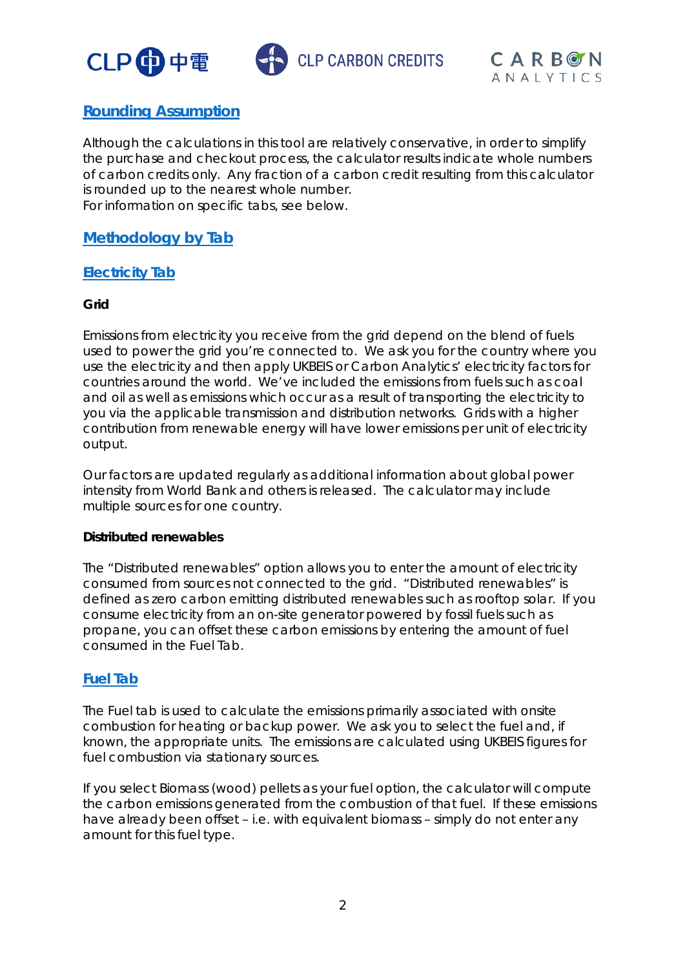





## **Rounding Assumption**

Although the calculations in this tool are relatively conservative, in order to simplify the purchase and checkout process, the calculator results indicate whole numbers of carbon credits only. Any fraction of a carbon credit resulting from this calculator is rounded up to the nearest whole number. For information on specific tabs, see below.

## **Methodology by Tab**

#### **Electricity Tab**

#### **Grid**

Emissions from electricity you receive from the grid depend on the blend of fuels used to power the grid you're connected to. We ask you for the country where you use the electricity and then apply UKBEIS or Carbon Analytics' electricity factors for countries around the world. We've included the emissions from fuels such as coal and oil as well as emissions which occur as a result of transporting the electricity to you via the applicable transmission and distribution networks. Grids with a higher contribution from renewable energy will have lower emissions per unit of electricity output.

Our factors are updated regularly as additional information about global power intensity from World Bank and others is released. The calculator may include multiple sources for one country.

#### **Distributed renewables**

The "Distributed renewables" option allows you to enter the amount of electricity consumed from sources not connected to the grid. "Distributed renewables" is defined as zero carbon emitting distributed renewables such as rooftop solar. If you consume electricity from an on-site generator powered by fossil fuels such as propane, you can offset these carbon emissions by entering the amount of fuel consumed in the Fuel Tab.

#### **Fuel Tab**

The Fuel tab is used to calculate the emissions primarily associated with onsite combustion for heating or backup power. We ask you to select the fuel and, if known, the appropriate units. The emissions are calculated using UKBEIS figures for fuel combustion via stationary sources.

If you select Biomass (wood) pellets as your fuel option, the calculator will compute the carbon emissions generated from the combustion of that fuel. If these emissions have already been offset – i.e. with equivalent biomass – simply do not enter any amount for this fuel type.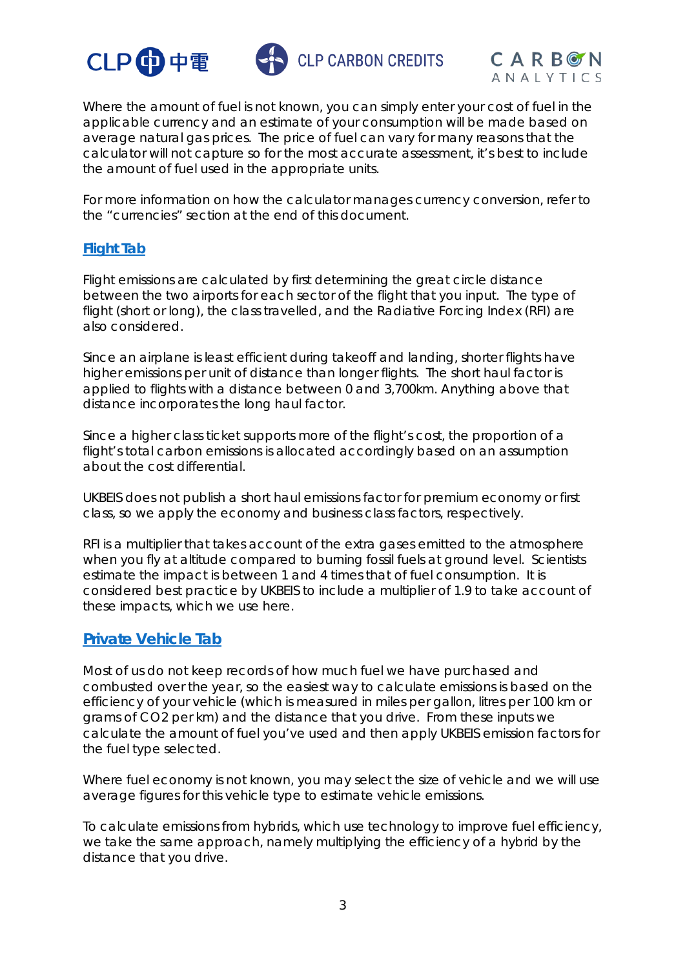





Where the amount of fuel is not known, you can simply enter your cost of fuel in the applicable currency and an estimate of your consumption will be made based on average natural gas prices. The price of fuel can vary for many reasons that the calculator will not capture so for the most accurate assessment, it's best to include the amount of fuel used in the appropriate units.

For more information on how the calculator manages currency conversion, refer to the "currencies" section at the end of this document.

#### **Flight Tab**

Flight emissions are calculated by first determining the great circle distance between the two airports for each sector of the flight that you input. The type of flight (short or long), the class travelled, and the Radiative Forcing Index (RFI) are also considered.

Since an airplane is least efficient during takeoff and landing, shorter flights have higher emissions per unit of distance than longer flights. The short haul factor is applied to flights with a distance between 0 and 3,700km. Anything above that distance incorporates the long haul factor.

Since a higher class ticket supports more of the flight's cost, the proportion of a flight's total carbon emissions is allocated accordingly based on an assumption about the cost differential.

UKBEIS does not publish a short haul emissions factor for premium economy or first class, so we apply the economy and business class factors, respectively.

RFI is a multiplier that takes account of the extra gases emitted to the atmosphere when you fly at altitude compared to burning fossil fuels at ground level. Scientists estimate the impact is between 1 and 4 times that of fuel consumption. It is considered best practice by UKBEIS to include a multiplier of 1.9 to take account of these impacts, which we use here.

## **Private Vehicle Tab**

Most of us do not keep records of how much fuel we have purchased and combusted over the year, so the easiest way to calculate emissions is based on the efficiency of your vehicle (which is measured in miles per gallon, litres per 100 km or grams of CO2 per km) and the distance that you drive. From these inputs we calculate the amount of fuel you've used and then apply UKBEIS emission factors for the fuel type selected.

Where fuel economy is not known, you may select the size of vehicle and we will use average figures for this vehicle type to estimate vehicle emissions.

To calculate emissions from hybrids, which use technology to improve fuel efficiency, we take the same approach, namely multiplying the efficiency of a hybrid by the distance that you drive.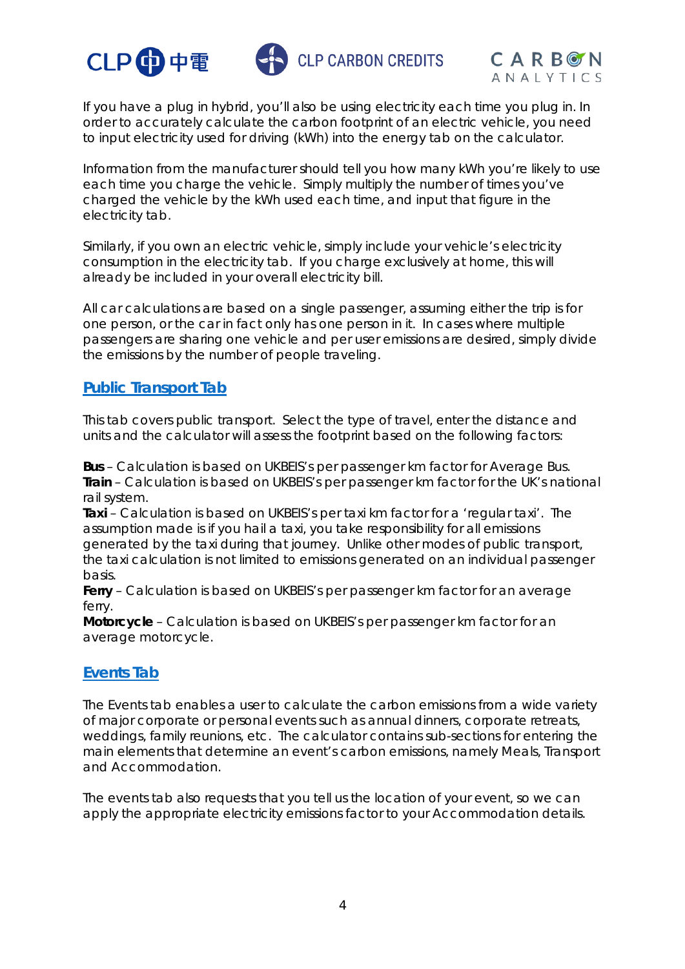





If you have a plug in hybrid, you'll also be using electricity each time you plug in. In order to accurately calculate the carbon footprint of an electric vehicle, you need to input electricity used for driving (kWh) into the energy tab on the calculator.

Information from the manufacturer should tell you how many kWh you're likely to use each time you charge the vehicle. Simply multiply the number of times you've charged the vehicle by the kWh used each time, and input that figure in the electricity tab.

Similarly, if you own an electric vehicle, simply include your vehicle's electricity consumption in the electricity tab. If you charge exclusively at home, this will already be included in your overall electricity bill.

All car calculations are based on a single passenger, assuming either the trip is for one person, or the car in fact only has one person in it. In cases where multiple passengers are sharing one vehicle and per user emissions are desired, simply divide the emissions by the number of people traveling.

## **Public Transport Tab**

This tab covers public transport. Select the type of travel, enter the distance and units and the calculator will assess the footprint based on the following factors:

**Bus** – Calculation is based on UKBEIS's per passenger km factor for Average Bus. **Train** – Calculation is based on UKBEIS's per passenger km factor for the UK's national rail system.

**Taxi** – Calculation is based on UKBEIS's per taxi km factor for a 'regular taxi'. The assumption made is if you hail a taxi, you take responsibility for all emissions generated by the taxi during that journey. Unlike other modes of public transport, the taxi calculation is not limited to emissions generated on an individual passenger basis.

**Ferry** – Calculation is based on UKBEIS's per passenger km factor for an average ferry.

**Motorcycle** – Calculation is based on UKBEIS's per passenger km factor for an average motorcycle.

## **Events Tab**

The Events tab enables a user to calculate the carbon emissions from a wide variety of major corporate or personal events such as annual dinners, corporate retreats, weddings, family reunions, etc. The calculator contains sub-sections for entering the main elements that determine an event's carbon emissions, namely Meals, Transport and Accommodation.

The events tab also requests that you tell us the location of your event, so we can apply the appropriate electricity emissions factor to your Accommodation details.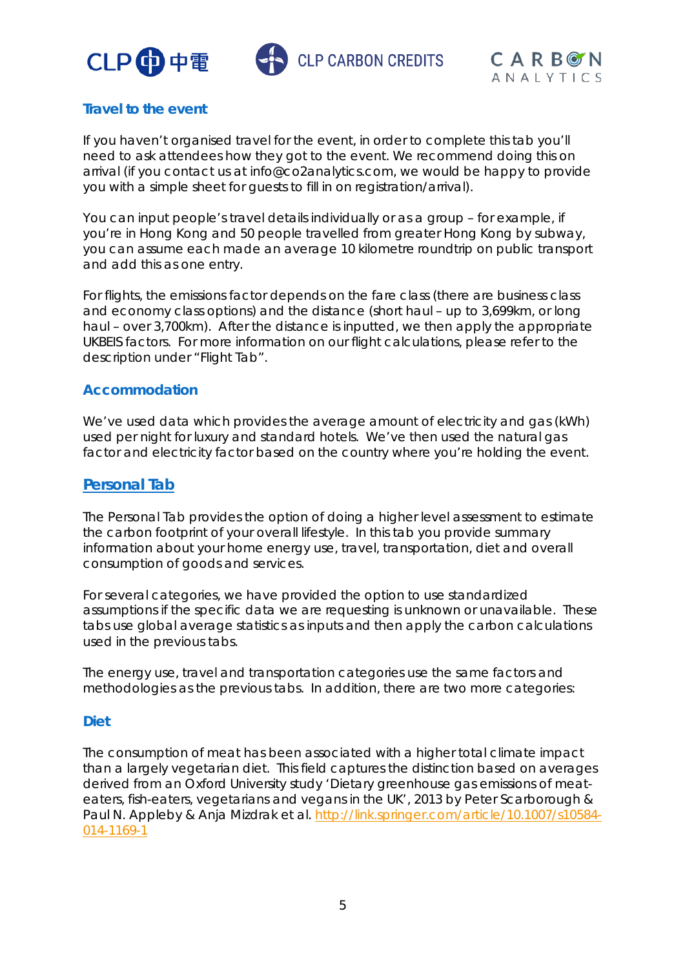





## **Travel to the event**

If you haven't organised travel for the event, in order to complete this tab you'll need to ask attendees how they got to the event. We recommend doing this on arrival (if you contact us at info@co2analytics.com, we would be happy to provide you with a simple sheet for guests to fill in on registration/arrival).

You can input people's travel details individually or as a group – for example, if you're in Hong Kong and 50 people travelled from greater Hong Kong by subway, you can assume each made an average 10 kilometre roundtrip on public transport and add this as one entry.

For flights, the emissions factor depends on the fare class (there are business class and economy class options) and the distance (short haul – up to 3,699km, or long haul – over 3,700km). After the distance is inputted, we then apply the appropriate UKBEIS factors. For more information on our flight calculations, please refer to the description under "Flight Tab".

#### **Accommodation**

We've used data which provides the average amount of electricity and gas (kWh) used per night for luxury and standard hotels. We've then used the natural gas factor and electricity factor based on the country where you're holding the event.

#### **Personal Tab**

The Personal Tab provides the option of doing a higher level assessment to estimate the carbon footprint of your overall lifestyle. In this tab you provide summary information about your home energy use, travel, transportation, diet and overall consumption of goods and services.

For several categories, we have provided the option to use standardized assumptions if the specific data we are requesting is unknown or unavailable. These tabs use global average statistics as inputs and then apply the carbon calculations used in the previous tabs.

The energy use, travel and transportation categories use the same factors and methodologies as the previous tabs. In addition, there are two more categories:

#### **Diet**

The consumption of meat has been associated with a higher total climate impact than a largely vegetarian diet. This field captures the distinction based on averages derived from an Oxford University study 'Dietary greenhouse gas emissions of meateaters, fish-eaters, vegetarians and vegans in the UK', 2013 by Peter Scarborough & Paul N. Appleby & Anja Mizdrak et al. http://link.springer.com/article/10.1007/s10584-014-1169-1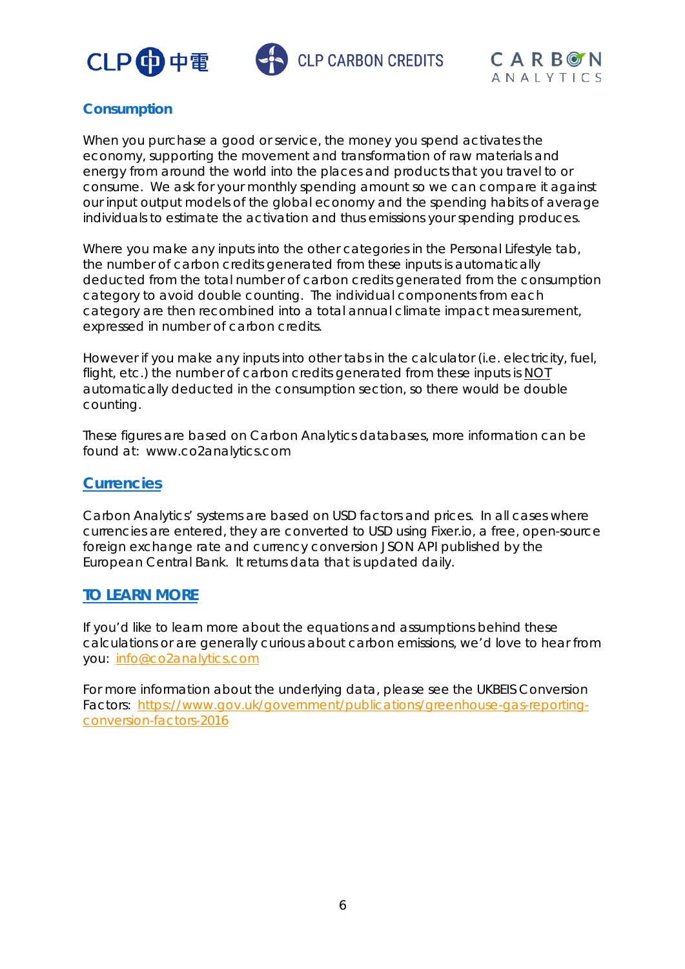





## **Consumption**

When you purchase a good or service, the money you spend activates the economy, supporting the movement and transformation of raw materials and energy from around the world into the places and products that you travel to or consume. We ask for your monthly spending amount so we can compare it against our input output models of the global economy and the spending habits of average individuals to estimate the activation and thus emissions your spending produces.

Where you make any inputs into the other categories in the Personal Lifestyle tab, the number of carbon credits generated from these inputs is automatically deducted from the total number of carbon credits generated from the consumption category to avoid double counting. The individual components from each category are then recombined into a total annual climate impact measurement, expressed in number of carbon credits.

However if you make any inputs into other tabs in the calculator (i.e. electricity, fuel, flight, etc.) the number of carbon credits generated from these inputs is NOT automatically deducted in the consumption section, so there would be double counting.

These figures are based on Carbon Analytics databases, more information can be found at: www.co2analytics.com

### **Currencies**

Carbon Analytics' systems are based on USD factors and prices. In all cases where currencies are entered, they are converted to USD using Fixer.io, a free, open-source foreign exchange rate and currency conversion JSON API published by the European Central Bank. It returns data that is updated daily.

## **TO LEARN MORE**

If you'd like to learn more about the equations and assumptions behind these calculations or are generally curious about carbon emissions, we'd love to hear from you: [info@co2analytics.com](mailto:info@co2analytics.com)

For more information about the underlying data, please see the UKBEIS Conversion Factors: [https://www.gov.uk/government/publications/greenhouse-gas-reporting](https://www.gov.uk/government/publications/greenhouse-gas-reporting-conversion-factors-2016)[conversion-factors-2016](https://www.gov.uk/government/publications/greenhouse-gas-reporting-conversion-factors-2016)